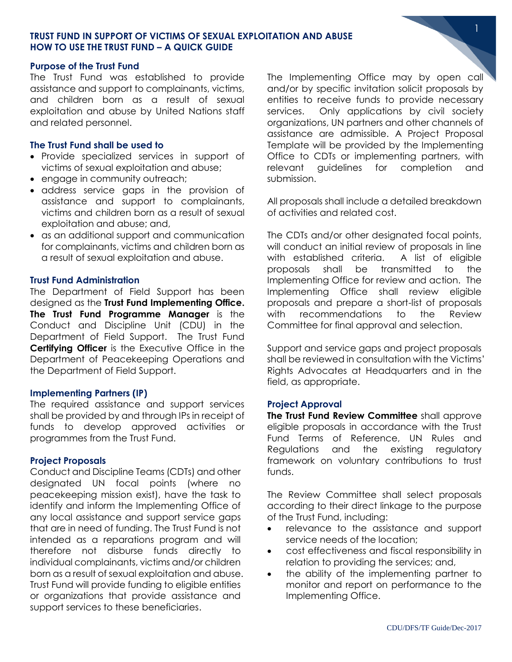# **TRUST FUND IN SUPPORT OF VICTIMS OF SEXUAL EXPLOITATION AND ABUSE HOW TO USE THE TRUST FUND – A QUICK GUIDE**

### **Purpose of the Trust Fund**

The Trust Fund was established to provide assistance and support to complainants, victims, and children born as a result of sexual exploitation and abuse by United Nations staff and related personnel.

### **The Trust Fund shall be used to**

- Provide specialized services in support of victims of sexual exploitation and abuse;
- engage in community outreach;
- address service gaps in the provision of assistance and support to complainants, victims and children born as a result of sexual exploitation and abuse; and,
- as an additional support and communication for complainants, victims and children born as a result of sexual exploitation and abuse.

### **Trust Fund Administration**

The Department of Field Support has been designed as the **Trust Fund Implementing Office. The Trust Fund Programme Manager** is the Conduct and Discipline Unit (CDU) in the Department of Field Support. The Trust Fund **Certifying Officer** is the Executive Office in the Department of Peacekeeping Operations and the Department of Field Support.

### **Implementing Partners (IP)**

The required assistance and support services shall be provided by and through IPs in receipt of funds to develop approved activities or programmes from the Trust Fund.

# **Project Proposals**

Conduct and Discipline Teams (CDTs) and other designated UN focal points (where no peacekeeping mission exist), have the task to identify and inform the Implementing Office of any local assistance and support service gaps that are in need of funding. The Trust Fund is not intended as a reparations program and will therefore not disburse funds directly to individual complainants, victims and/or children born as a result of sexual exploitation and abuse. Trust Fund will provide funding to eligible entities or organizations that provide assistance and support services to these beneficiaries.

The Implementing Office may by open call and/or by specific invitation solicit proposals by entities to receive funds to provide necessary services. Only applications by civil society organizations, UN partners and other channels of assistance are admissible. A Project Proposal Template will be provided by the Implementing Office to CDTs or implementing partners, with relevant guidelines for completion and submission.

1

All proposals shall include a detailed breakdown of activities and related cost.

The CDTs and/or other designated focal points, will conduct an initial review of proposals in line with established criteria. A list of eligible proposals shall be transmitted to the Implementing Office for review and action. The Implementing Office shall review eligible proposals and prepare a short-list of proposals with recommendations to the Review Committee for final approval and selection.

Support and service gaps and project proposals shall be reviewed in consultation with the Victims' Rights Advocates at Headquarters and in the field, as appropriate.

### **Project Approval**

**The Trust Fund Review Committee** shall approve eligible proposals in accordance with the Trust Fund Terms of Reference, UN Rules and Regulations and the existing regulatory framework on voluntary contributions to trust funds.

The Review Committee shall select proposals according to their direct linkage to the purpose of the Trust Fund, including:

- relevance to the assistance and support service needs of the location;
- cost effectiveness and fiscal responsibility in relation to providing the services; and,
- the ability of the implementing partner to monitor and report on performance to the Implementing Office.